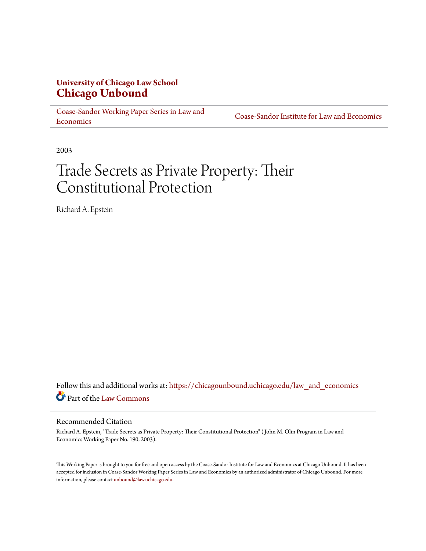# **University of Chicago Law School [Chicago Unbound](https://chicagounbound.uchicago.edu?utm_source=chicagounbound.uchicago.edu%2Flaw_and_economics%2F592&utm_medium=PDF&utm_campaign=PDFCoverPages)**

[Coase-Sandor Working Paper Series in Law and](https://chicagounbound.uchicago.edu/law_and_economics?utm_source=chicagounbound.uchicago.edu%2Flaw_and_economics%2F592&utm_medium=PDF&utm_campaign=PDFCoverPages) [Economics](https://chicagounbound.uchicago.edu/law_and_economics?utm_source=chicagounbound.uchicago.edu%2Flaw_and_economics%2F592&utm_medium=PDF&utm_campaign=PDFCoverPages)

[Coase-Sandor Institute for Law and Economics](https://chicagounbound.uchicago.edu/coase_sandor_institute?utm_source=chicagounbound.uchicago.edu%2Flaw_and_economics%2F592&utm_medium=PDF&utm_campaign=PDFCoverPages)

2003

# Trade Secrets as Private Property: Their Constitutional Protection

Richard A. Epstein

Follow this and additional works at: [https://chicagounbound.uchicago.edu/law\\_and\\_economics](https://chicagounbound.uchicago.edu/law_and_economics?utm_source=chicagounbound.uchicago.edu%2Flaw_and_economics%2F592&utm_medium=PDF&utm_campaign=PDFCoverPages) Part of the [Law Commons](http://network.bepress.com/hgg/discipline/578?utm_source=chicagounbound.uchicago.edu%2Flaw_and_economics%2F592&utm_medium=PDF&utm_campaign=PDFCoverPages)

#### Recommended Citation

Richard A. Epstein, "Trade Secrets as Private Property: Their Constitutional Protection" ( John M. Olin Program in Law and Economics Working Paper No. 190, 2003).

This Working Paper is brought to you for free and open access by the Coase-Sandor Institute for Law and Economics at Chicago Unbound. It has been accepted for inclusion in Coase-Sandor Working Paper Series in Law and Economics by an authorized administrator of Chicago Unbound. For more information, please contact [unbound@law.uchicago.edu.](mailto:unbound@law.uchicago.edu)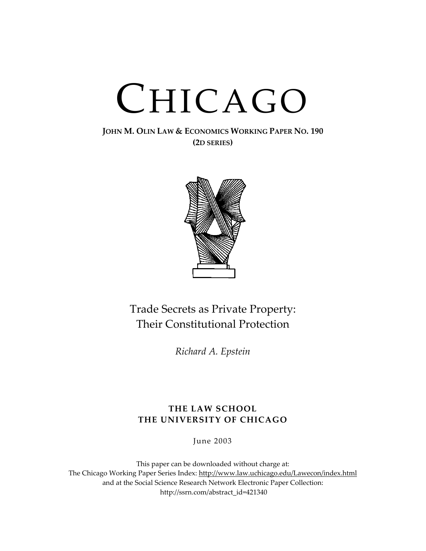# CHICAGO

#### **JOHN M. OLIN LAW & ECONOMICS WORKING PAPER NO. 190 (2D SERIES)**



# Trade Secrets as Private Property: Their Constitutional Protection

*Richard A. Epstein* 

# **THE LAW SCHOOL THE UNIVERSITY OF CHICAGO**

June 2003

This paper can be downloaded without charge at: The Chicago Working Paper Series Index: [http://www.law.uchicago.edu/Lawecon/index.html](http://www.law.uchicago.edu/Publications/Working/index.html) and at the Social Science Research Network Electronic Paper Collection: [http://ssrn.com/abstract\\_id=421340](http://papers.ssrn.com/sol3/search.taf)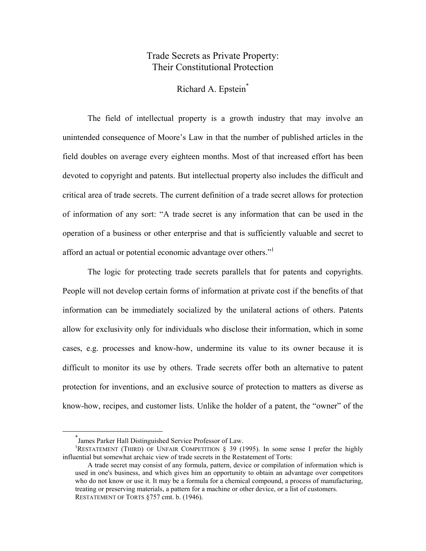## Trade Secrets as Private Property: Their Constitutional Protection

#### Richard A. Epstein[\\*](#page-2-0)

 The field of intellectual property is a growth industry that may involve an unintended consequence of Moore's Law in that the number of published articles in the field doubles on average every eighteen months. Most of that increased effort has been devoted to copyright and patents. But intellectual property also includes the difficult and critical area of trade secrets. The current definition of a trade secret allows for protection of information of any sort: "A trade secret is any information that can be used in the operation of a business or other enterprise and that is sufficiently valuable and secret to afford an actual or potential economic advantage over others."<sup>[1](#page-2-1)</sup>

The logic for protecting trade secrets parallels that for patents and copyrights. People will not develop certain forms of information at private cost if the benefits of that information can be immediately socialized by the unilateral actions of others. Patents allow for exclusivity only for individuals who disclose their information, which in some cases, e.g. processes and know-how, undermine its value to its owner because it is difficult to monitor its use by others. Trade secrets offer both an alternative to patent protection for inventions, and an exclusive source of protection to matters as diverse as know-how, recipes, and customer lists. Unlike the holder of a patent, the "owner" of the

<span id="page-2-0"></span> <sup>\*</sup> James Parker Hall Distinguished Service Professor of Law.

<span id="page-2-1"></span><sup>&</sup>lt;sup>1</sup>RESTATEMENT (THIRD) OF UNFAIR COMPETITION § 39 (1995). In some sense I prefer the highly influential but somewhat archaic view of trade secrets in the Restatement of Torts:

A trade secret may consist of any formula, pattern, device or compilation of information which is used in one's business, and which gives him an opportunity to obtain an advantage over competitors who do not know or use it. It may be a formula for a chemical compound, a process of manufacturing, treating or preserving materials, a pattern for a machine or other device, or a list of customers. RESTATEMENT OF TORTS §757 cmt. b. (1946).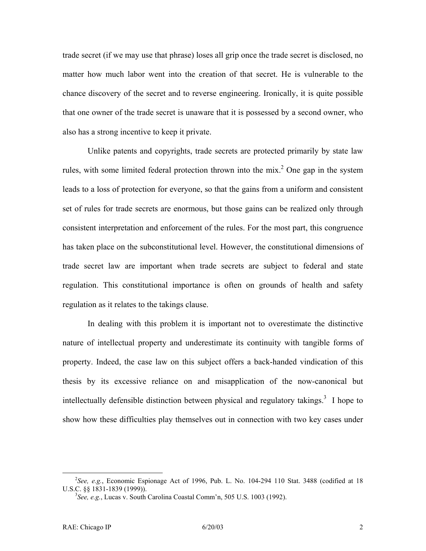trade secret (if we may use that phrase) loses all grip once the trade secret is disclosed, no matter how much labor went into the creation of that secret. He is vulnerable to the chance discovery of the secret and to reverse engineering. Ironically, it is quite possible that one owner of the trade secret is unaware that it is possessed by a second owner, who also has a strong incentive to keep it private.

Unlike patents and copyrights, trade secrets are protected primarily by state law rules, with some limited federal protection thrown into the mix.<sup>[2](#page-3-0)</sup> One gap in the system leads to a loss of protection for everyone, so that the gains from a uniform and consistent set of rules for trade secrets are enormous, but those gains can be realized only through consistent interpretation and enforcement of the rules. For the most part, this congruence has taken place on the subconstitutional level. However, the constitutional dimensions of trade secret law are important when trade secrets are subject to federal and state regulation. This constitutional importance is often on grounds of health and safety regulation as it relates to the takings clause.

In dealing with this problem it is important not to overestimate the distinctive nature of intellectual property and underestimate its continuity with tangible forms of property. Indeed, the case law on this subject offers a back-handed vindication of this thesis by its excessive reliance on and misapplication of the now-canonical but intellectually defensible distinction between physical and regulatory takings.<sup>[3](#page-3-1)</sup> I hope to show how these difficulties play themselves out in connection with two key cases under

 $\frac{1}{2}$ *See, e.g.*, Economic Espionage Act of 1996, Pub. L. No. 104-294 110 Stat. 3488 (codified at 18 U.S.C. §§ 1831-1839 (1999)).

<span id="page-3-1"></span><span id="page-3-0"></span>*See, e.g.*, Lucas v. South Carolina Coastal Comm'n, 505 U.S. 1003 (1992).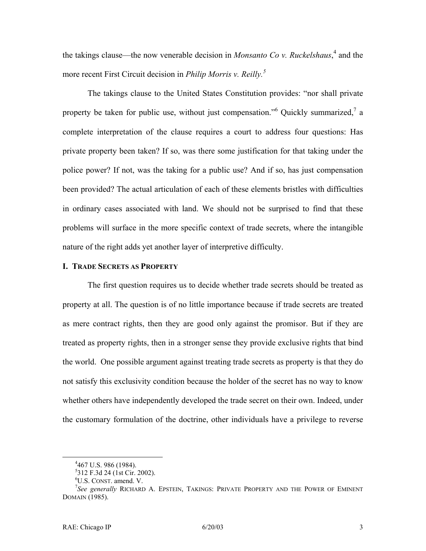the takings clause—the now venerable decision in *Monsanto Co v. Ruckelshaus*, [4](#page-4-0) and the more recent First Circuit decision in *Philip Morris v. Reilly[.5](#page-4-1)*

The takings clause to the United States Constitution provides: "nor shall private property be taken for public use, without just compensation." Quickly summarized,  $a$ complete interpretation of the clause requires a court to address four questions: Has private property been taken? If so, was there some justification for that taking under the police power? If not, was the taking for a public use? And if so, has just compensation been provided? The actual articulation of each of these elements bristles with difficulties in ordinary cases associated with land. We should not be surprised to find that these problems will surface in the more specific context of trade secrets, where the intangible nature of the right adds yet another layer of interpretive difficulty.

#### **I. TRADE SECRETS AS PROPERTY**

The first question requires us to decide whether trade secrets should be treated as property at all. The question is of no little importance because if trade secrets are treated as mere contract rights, then they are good only against the promisor. But if they are treated as property rights, then in a stronger sense they provide exclusive rights that bind the world. One possible argument against treating trade secrets as property is that they do not satisfy this exclusivity condition because the holder of the secret has no way to know whether others have independently developed the trade secret on their own. Indeed, under the customary formulation of the doctrine, other individuals have a privilege to reverse

 $\overline{4}$  $4467$  U.S. 986 (1984).

<span id="page-4-1"></span><span id="page-4-0"></span> $^{5}$ 312 F.3d 24 (1st Cir. 2002).

<span id="page-4-3"></span><span id="page-4-2"></span><sup>&</sup>lt;sup>6</sup>U.S. CONST. amend. V.

*See generally* RICHARD A. EPSTEIN, TAKINGS: PRIVATE PROPERTY AND THE POWER OF EMINENT DOMAIN (1985).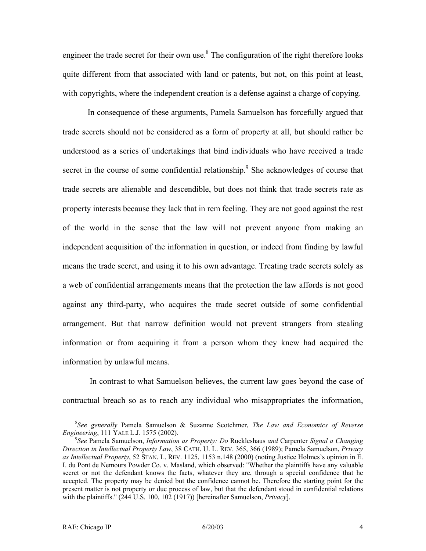engineer the trade secret for their own use.<sup>[8](#page-5-0)</sup> The configuration of the right therefore looks quite different from that associated with land or patents, but not, on this point at least, with copyrights, where the independent creation is a defense against a charge of copying.

In consequence of these arguments, Pamela Samuelson has forcefully argued that trade secrets should not be considered as a form of property at all, but should rather be understood as a series of undertakings that bind individuals who have received a trade secret in the course of some confidential relationship. $9$  She acknowledges of course that trade secrets are alienable and descendible, but does not think that trade secrets rate as property interests because they lack that in rem feeling. They are not good against the rest of the world in the sense that the law will not prevent anyone from making an independent acquisition of the information in question, or indeed from finding by lawful means the trade secret, and using it to his own advantage. Treating trade secrets solely as a web of confidential arrangements means that the protection the law affords is not good against any third-party, who acquires the trade secret outside of some confidential arrangement. But that narrow definition would not prevent strangers from stealing information or from acquiring it from a person whom they knew had acquired the information by unlawful means.

In contrast to what Samuelson believes, the current law goes beyond the case of contractual breach so as to reach any individual who misappropriates the information,

<span id="page-5-0"></span> <sup>8</sup> *See generally* Pamela Samuelson & Suzanne Scotchmer, *The Law and Economics of Reverse Engineering*, 111 YALE L.J. 1575 (2002).

<span id="page-5-1"></span>*See* Pamela Samuelson, *Information as Property: Do* Ruckleshaus *and* Carpenter *Signal a Changing Direction in Intellectual Property Law*, 38 CATH. U. L. REV. 365, 366 (1989); Pamela Samuelson, *Privacy as Intellectual Property*, 52 STAN. L. REV. 1125, 1153 n.148 (2000) (noting Justice Holmes's opinion in E. I. du Pont de Nemours Powder Co. v. Masland, which observed: "Whether the plaintiffs have any valuable secret or not the defendant knows the facts, whatever they are, through a special confidence that he accepted. The property may be denied but the confidence cannot be. Therefore the starting point for the present matter is not property or due process of law, but that the defendant stood in confidential relations with the plaintiffs." (244 U.S. 100, 102 (1917)) [hereinafter Samuelson, *Privacy*].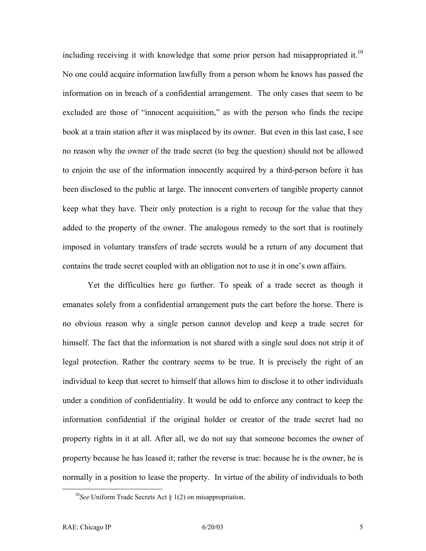including receiving it with knowledge that some prior person had misappropriated it.<sup>10</sup> No one could acquire information lawfully from a person whom he knows has passed the information on in breach of a confidential arrangement. The only cases that seem to be excluded are those of "innocent acquisition," as with the person who finds the recipe book at a train station after it was misplaced by its owner. But even in this last case, I see no reason why the owner of the trade secret (to beg the question) should not be allowed to enjoin the use of the information innocently acquired by a third-person before it has been disclosed to the public at large. The innocent converters of tangible property cannot keep what they have. Their only protection is a right to recoup for the value that they added to the property of the owner. The analogous remedy to the sort that is routinely imposed in voluntary transfers of trade secrets would be a return of any document that contains the trade secret coupled with an obligation not to use it in one's own affairs.

Yet the difficulties here go further. To speak of a trade secret as though it emanates solely from a confidential arrangement puts the cart before the horse. There is no obvious reason why a single person cannot develop and keep a trade secret for himself. The fact that the information is not shared with a single soul does not strip it of legal protection. Rather the contrary seems to be true. It is precisely the right of an individual to keep that secret to himself that allows him to disclose it to other individuals under a condition of confidentiality. It would be odd to enforce any contract to keep the information confidential if the original holder or creator of the trade secret had no property rights in it at all. After all, we do not say that someone becomes the owner of property because he has leased it; rather the reverse is true: because he is the owner, he is normally in a position to lease the property. In virtue of the ability of individuals to both

<span id="page-6-0"></span> <sup>10</sup>*See* Uniform Trade Secrets Act § 1(2) on misappropriation.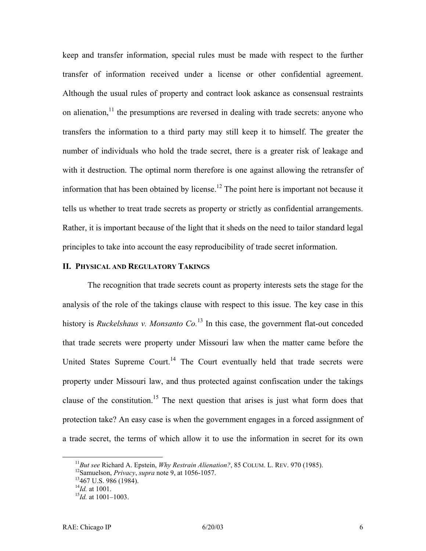keep and transfer information, special rules must be made with respect to the further transfer of information received under a license or other confidential agreement. Although the usual rules of property and contract look askance as consensual restraints on alienation,<sup>11</sup> the presumptions are reversed in dealing with trade secrets: anyone who transfers the information to a third party may still keep it to himself. The greater the number of individuals who hold the trade secret, there is a greater risk of leakage and with it destruction. The optimal norm therefore is one against allowing the retransfer of information that has been obtained by license.<sup>12</sup> The point here is important not because it tells us whether to treat trade secrets as property or strictly as confidential arrangements. Rather, it is important because of the light that it sheds on the need to tailor standard legal principles to take into account the easy reproducibility of trade secret information.

#### **II. PHYSICAL AND REGULATORY TAKINGS**

The recognition that trade secrets count as property interests sets the stage for the analysis of the role of the takings clause with respect to this issue. The key case in this history is *Ruckelshaus v. Monsanto Co.*<sup>13</sup> In this case, the government flat-out conceded that trade secrets were property under Missouri law when the matter came before the United States Supreme Court.<sup>14</sup> The Court eventually held that trade secrets were property under Missouri law, and thus protected against confiscation under the takings clause of the constitution.<sup>15</sup> The next question that arises is just what form does that protection take? An easy case is when the government engages in a forced assignment of a trade secret, the terms of which allow it to use the information in secret for its own

<span id="page-7-0"></span><sup>&</sup>lt;sup>11</sup>*But see* Richard A. Epstein, *Why Restrain Alienation?*, 85 COLUM. L. REV. 970 (1985).<br><sup>12</sup>Samuelson, *Privacy*, *supra* note 9, at 1056-1057.<br><sup>13</sup>467 U.S. 986 (1984).<br><sup>14</sup>*Id.* at 1001.

<span id="page-7-1"></span>

<span id="page-7-2"></span>

<span id="page-7-3"></span>

<span id="page-7-4"></span> $^{15}$ *Id.* at 1001–1003.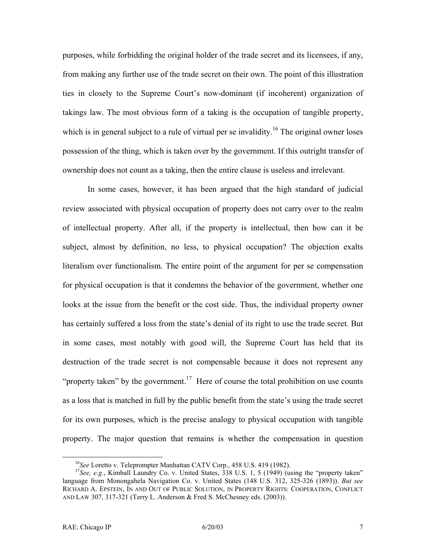purposes, while forbidding the original holder of the trade secret and its licensees, if any, from making any further use of the trade secret on their own. The point of this illustration ties in closely to the Supreme Court's now-dominant (if incoherent) organization of takings law. The most obvious form of a taking is the occupation of tangible property, which is in general subject to a rule of virtual per se invalidity.<sup>16</sup> The original owner loses possession of the thing, which is taken over by the government. If this outright transfer of ownership does not count as a taking, then the entire clause is useless and irrelevant.

In some cases, however, it has been argued that the high standard of judicial review associated with physical occupation of property does not carry over to the realm of intellectual property. After all, if the property is intellectual, then how can it be subject, almost by definition, no less, to physical occupation? The objection exalts literalism over functionalism. The entire point of the argument for per se compensation for physical occupation is that it condemns the behavior of the government, whether one looks at the issue from the benefit or the cost side. Thus, the individual property owner has certainly suffered a loss from the state's denial of its right to use the trade secret. But in some cases, most notably with good will, the Supreme Court has held that its destruction of the trade secret is not compensable because it does not represent any "property taken" by the government.<sup>17</sup> Here of course the total prohibition on use counts as a loss that is matched in full by the public benefit from the state's using the trade secret for its own purposes, which is the precise analogy to physical occupation with tangible property. The major question that remains is whether the compensation in question

<span id="page-8-1"></span><span id="page-8-0"></span>

<sup>&</sup>lt;sup>16</sup>See Loretto v. Teleprompter Manhattan CATV Corp., 458 U.S. 419 (1982).<br><sup>17</sup>See, e.g., Kimball Laundry Co. v. United States, 338 U.S. 1, 5 (1949) (using the "property taken" language from Monongahela Navigation Co. v. United States (148 U.S. 312, 325-326 (1893)). *But see* RICHARD A. EPSTEIN, IN AND OUT OF PUBLIC SOLUTION, IN PROPERTY RIGHTS: COOPERATION, CONFLICT AND LAW 307, 317-321 (Terry L. Anderson & Fred S. McChesney eds. (2003)).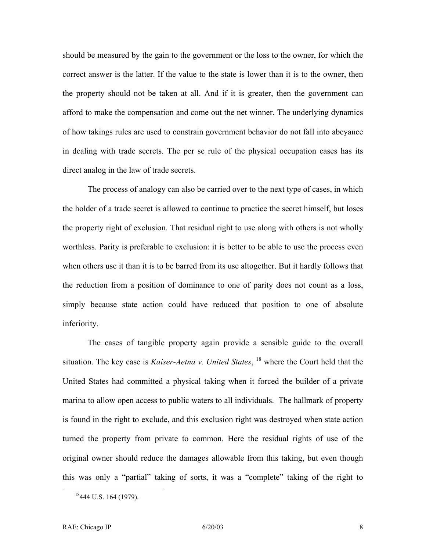should be measured by the gain to the government or the loss to the owner, for which the correct answer is the latter. If the value to the state is lower than it is to the owner, then the property should not be taken at all. And if it is greater, then the government can afford to make the compensation and come out the net winner. The underlying dynamics of how takings rules are used to constrain government behavior do not fall into abeyance in dealing with trade secrets. The per se rule of the physical occupation cases has its direct analog in the law of trade secrets.

The process of analogy can also be carried over to the next type of cases, in which the holder of a trade secret is allowed to continue to practice the secret himself, but loses the property right of exclusion. That residual right to use along with others is not wholly worthless. Parity is preferable to exclusion: it is better to be able to use the process even when others use it than it is to be barred from its use altogether. But it hardly follows that the reduction from a position of dominance to one of parity does not count as a loss, simply because state action could have reduced that position to one of absolute inferiority.

The cases of tangible property again provide a sensible guide to the overall situation. The key case is *Kaiser-Aetna v. United States*, [18](#page-9-0) where the Court held that the United States had committed a physical taking when it forced the builder of a private marina to allow open access to public waters to all individuals. The hallmark of property is found in the right to exclude, and this exclusion right was destroyed when state action turned the property from private to common. Here the residual rights of use of the original owner should reduce the damages allowable from this taking, but even though this was only a "partial" taking of sorts, it was a "complete" taking of the right to

<span id="page-9-0"></span> $18444$  U.S. 164 (1979).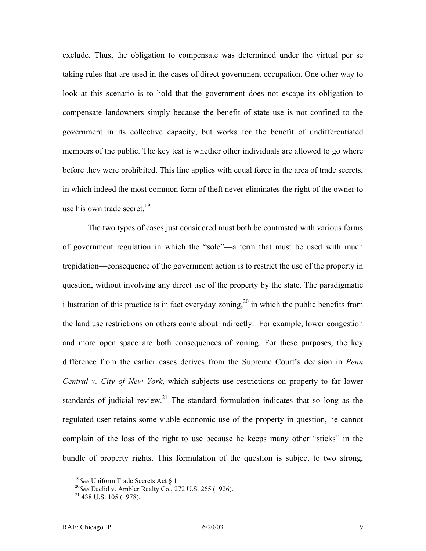exclude. Thus, the obligation to compensate was determined under the virtual per se taking rules that are used in the cases of direct government occupation. One other way to look at this scenario is to hold that the government does not escape its obligation to compensate landowners simply because the benefit of state use is not confined to the government in its collective capacity, but works for the benefit of undifferentiated members of the public. The key test is whether other individuals are allowed to go where before they were prohibited. This line applies with equal force in the area of trade secrets, in which indeed the most common form of theft never eliminates the right of the owner to use his own trade secret.<sup>[19](#page-10-0)</sup>

The two types of cases just considered must both be contrasted with various forms of government regulation in which the "sole"—a term that must be used with much trepidation—consequence of the government action is to restrict the use of the property in question, without involving any direct use of the property by the state. The paradigmatic illustration of this practice is in fact everyday zoning,<sup>20</sup> in which the public benefits from the land use restrictions on others come about indirectly. For example, lower congestion and more open space are both consequences of zoning. For these purposes, the key difference from the earlier cases derives from the Supreme Court's decision in *Penn Central v. City of New York*, which subjects use restrictions on property to far lower standards of judicial review.<sup>21</sup> The standard formulation indicates that so long as the regulated user retains some viable economic use of the property in question, he cannot complain of the loss of the right to use because he keeps many other "sticks" in the bundle of property rights. This formulation of the question is subject to two strong,

<span id="page-10-1"></span>

<span id="page-10-0"></span><sup>&</sup>lt;sup>19</sup>*See* Uniform Trade Secrets Act § 1.<br><sup>20</sup>*See* Euclid v. Ambler Realty Co., 272 U.S. 265 (1926). <sup>21</sup> 438 U.S. 105 (1978).

<span id="page-10-2"></span>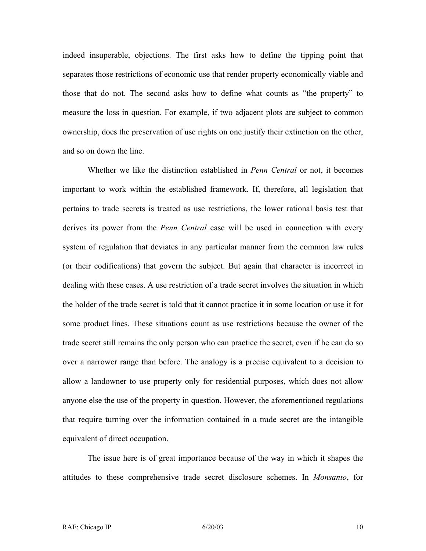indeed insuperable, objections. The first asks how to define the tipping point that separates those restrictions of economic use that render property economically viable and those that do not. The second asks how to define what counts as "the property" to measure the loss in question. For example, if two adjacent plots are subject to common ownership, does the preservation of use rights on one justify their extinction on the other, and so on down the line.

Whether we like the distinction established in *Penn Central* or not, it becomes important to work within the established framework. If, therefore, all legislation that pertains to trade secrets is treated as use restrictions, the lower rational basis test that derives its power from the *Penn Central* case will be used in connection with every system of regulation that deviates in any particular manner from the common law rules (or their codifications) that govern the subject. But again that character is incorrect in dealing with these cases. A use restriction of a trade secret involves the situation in which the holder of the trade secret is told that it cannot practice it in some location or use it for some product lines. These situations count as use restrictions because the owner of the trade secret still remains the only person who can practice the secret, even if he can do so over a narrower range than before. The analogy is a precise equivalent to a decision to allow a landowner to use property only for residential purposes, which does not allow anyone else the use of the property in question. However, the aforementioned regulations that require turning over the information contained in a trade secret are the intangible equivalent of direct occupation.

The issue here is of great importance because of the way in which it shapes the attitudes to these comprehensive trade secret disclosure schemes. In *Monsanto*, for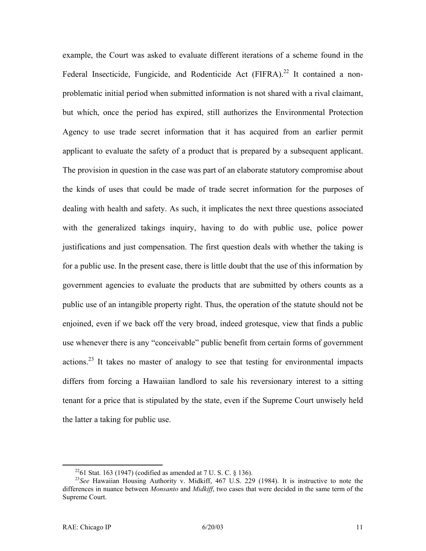example, the Court was asked to evaluate different iterations of a scheme found in the Federal Insecticide, Fungicide, and Rodenticide Act (FIFRA).<sup>22</sup> It contained a nonproblematic initial period when submitted information is not shared with a rival claimant, but which, once the period has expired, still authorizes the Environmental Protection Agency to use trade secret information that it has acquired from an earlier permit applicant to evaluate the safety of a product that is prepared by a subsequent applicant. The provision in question in the case was part of an elaborate statutory compromise about the kinds of uses that could be made of trade secret information for the purposes of dealing with health and safety. As such, it implicates the next three questions associated with the generalized takings inquiry, having to do with public use, police power justifications and just compensation. The first question deals with whether the taking is for a public use. In the present case, there is little doubt that the use of this information by government agencies to evaluate the products that are submitted by others counts as a public use of an intangible property right. Thus, the operation of the statute should not be enjoined, even if we back off the very broad, indeed grotesque, view that finds a public use whenever there is any "conceivable" public benefit from certain forms of government actions.<sup>23</sup> It takes no master of analogy to see that testing for environmental impacts differs from forcing a Hawaiian landlord to sale his reversionary interest to a sitting tenant for a price that is stipulated by the state, even if the Supreme Court unwisely held the latter a taking for public use.

<span id="page-12-1"></span><span id="page-12-0"></span>

<sup>&</sup>lt;sup>22</sup>61 Stat. 163 (1947) (codified as amended at 7 U. S. C. § 136).<br><sup>23</sup>*See* Hawaiian Housing Authority v. Midkiff, 467 U.S. 229 (1984). It is instructive to note the differences in nuance between *Monsanto* and *Midkiff*, two cases that were decided in the same term of the Supreme Court.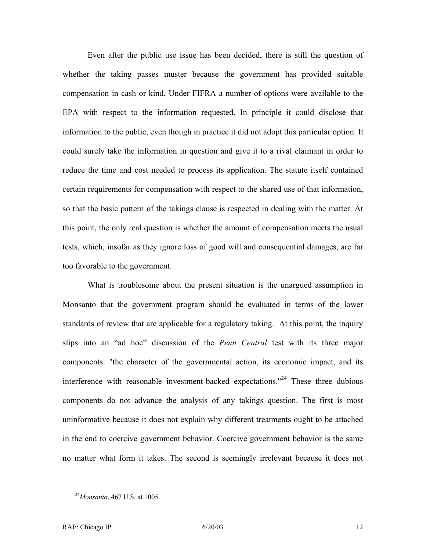Even after the public use issue has been decided, there is still the question of whether the taking passes muster because the government has provided suitable compensation in cash or kind. Under FIFRA a number of options were available to the EPA with respect to the information requested. In principle it could disclose that information to the public, even though in practice it did not adopt this particular option. It could surely take the information in question and give it to a rival claimant in order to reduce the time and cost needed to process its application. The statute itself contained certain requirements for compensation with respect to the shared use of that information, so that the basic pattern of the takings clause is respected in dealing with the matter. At this point, the only real question is whether the amount of compensation meets the usual tests, which, insofar as they ignore loss of good will and consequential damages, are far too favorable to the government.

What is troublesome about the present situation is the unargued assumption in Monsanto that the government program should be evaluated in terms of the lower standards of review that are applicable for a regulatory taking. At this point, the inquiry slips into an "ad hoc" discussion of the *Penn Central* test with its three major components: "the character of the governmental action, its economic impact, and its interference with reasonable investment-backed expectations.["24](#page-13-0) These three dubious components do not advance the analysis of any takings question. The first is most uninformative because it does not explain why different treatments ought to be attached in the end to coercive government behavior. Coercive government behavior is the same no matter what form it takes. The second is seemingly irrelevant because it does not

<span id="page-13-0"></span> <sup>24</sup>*Monsanto*, 467 U.S. at 1005.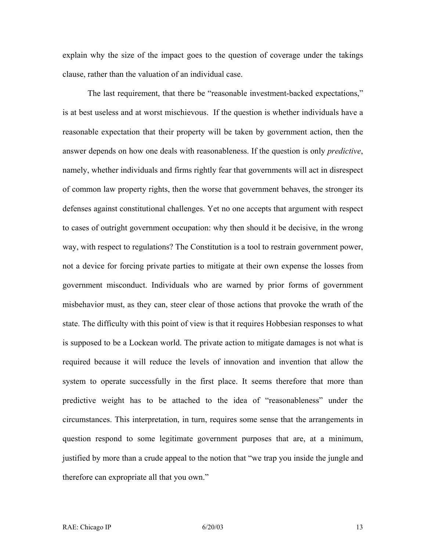explain why the size of the impact goes to the question of coverage under the takings clause, rather than the valuation of an individual case.

The last requirement, that there be "reasonable investment-backed expectations," is at best useless and at worst mischievous. If the question is whether individuals have a reasonable expectation that their property will be taken by government action, then the answer depends on how one deals with reasonableness. If the question is only *predictive*, namely, whether individuals and firms rightly fear that governments will act in disrespect of common law property rights, then the worse that government behaves, the stronger its defenses against constitutional challenges. Yet no one accepts that argument with respect to cases of outright government occupation: why then should it be decisive, in the wrong way, with respect to regulations? The Constitution is a tool to restrain government power, not a device for forcing private parties to mitigate at their own expense the losses from government misconduct. Individuals who are warned by prior forms of government misbehavior must, as they can, steer clear of those actions that provoke the wrath of the state. The difficulty with this point of view is that it requires Hobbesian responses to what is supposed to be a Lockean world. The private action to mitigate damages is not what is required because it will reduce the levels of innovation and invention that allow the system to operate successfully in the first place. It seems therefore that more than predictive weight has to be attached to the idea of "reasonableness" under the circumstances. This interpretation, in turn, requires some sense that the arrangements in question respond to some legitimate government purposes that are, at a minimum, justified by more than a crude appeal to the notion that "we trap you inside the jungle and therefore can expropriate all that you own."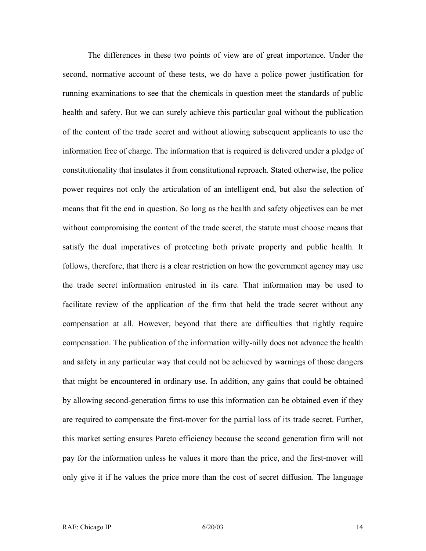The differences in these two points of view are of great importance. Under the second, normative account of these tests, we do have a police power justification for running examinations to see that the chemicals in question meet the standards of public health and safety. But we can surely achieve this particular goal without the publication of the content of the trade secret and without allowing subsequent applicants to use the information free of charge. The information that is required is delivered under a pledge of constitutionality that insulates it from constitutional reproach. Stated otherwise, the police power requires not only the articulation of an intelligent end, but also the selection of means that fit the end in question. So long as the health and safety objectives can be met without compromising the content of the trade secret, the statute must choose means that satisfy the dual imperatives of protecting both private property and public health. It follows, therefore, that there is a clear restriction on how the government agency may use the trade secret information entrusted in its care. That information may be used to facilitate review of the application of the firm that held the trade secret without any compensation at all. However, beyond that there are difficulties that rightly require compensation. The publication of the information willy-nilly does not advance the health and safety in any particular way that could not be achieved by warnings of those dangers that might be encountered in ordinary use. In addition, any gains that could be obtained by allowing second-generation firms to use this information can be obtained even if they are required to compensate the first-mover for the partial loss of its trade secret. Further, this market setting ensures Pareto efficiency because the second generation firm will not pay for the information unless he values it more than the price, and the first-mover will only give it if he values the price more than the cost of secret diffusion. The language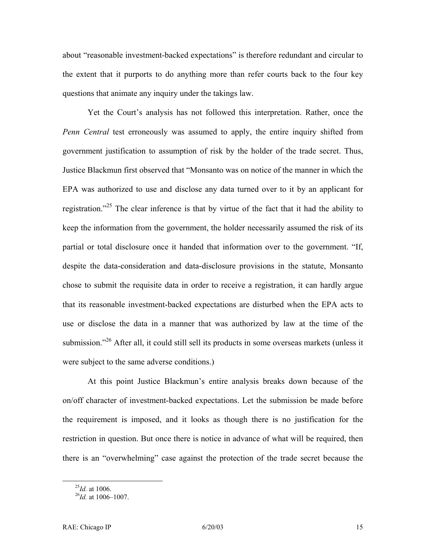about "reasonable investment-backed expectations" is therefore redundant and circular to the extent that it purports to do anything more than refer courts back to the four key questions that animate any inquiry under the takings law.

Yet the Court's analysis has not followed this interpretation. Rather, once the *Penn Central* test erroneously was assumed to apply, the entire inquiry shifted from government justification to assumption of risk by the holder of the trade secret. Thus, Justice Blackmun first observed that "Monsanto was on notice of the manner in which the EPA was authorized to use and disclose any data turned over to it by an applicant for registration."<sup>25</sup> The clear inference is that by virtue of the fact that it had the ability to keep the information from the government, the holder necessarily assumed the risk of its partial or total disclosure once it handed that information over to the government. "If, despite the data-consideration and data-disclosure provisions in the statute, Monsanto chose to submit the requisite data in order to receive a registration, it can hardly argue that its reasonable investment-backed expectations are disturbed when the EPA acts to use or disclose the data in a manner that was authorized by law at the time of the submission."<sup>26</sup> After all, it could still sell its products in some overseas markets (unless it were subject to the same adverse conditions.)

At this point Justice Blackmun's entire analysis breaks down because of the on/off character of investment-backed expectations. Let the submission be made before the requirement is imposed, and it looks as though there is no justification for the restriction in question. But once there is notice in advance of what will be required, then there is an "overwhelming" case against the protection of the trade secret because the

<span id="page-16-1"></span><span id="page-16-0"></span>

<sup>25</sup>*Id.* at 1006. 26*Id.* at 1006–1007.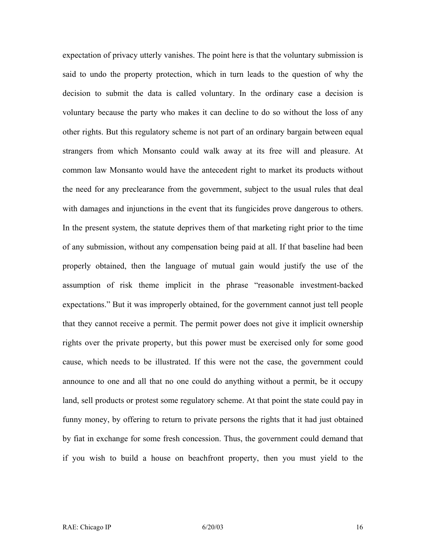expectation of privacy utterly vanishes. The point here is that the voluntary submission is said to undo the property protection, which in turn leads to the question of why the decision to submit the data is called voluntary. In the ordinary case a decision is voluntary because the party who makes it can decline to do so without the loss of any other rights. But this regulatory scheme is not part of an ordinary bargain between equal strangers from which Monsanto could walk away at its free will and pleasure. At common law Monsanto would have the antecedent right to market its products without the need for any preclearance from the government, subject to the usual rules that deal with damages and injunctions in the event that its fungicides prove dangerous to others. In the present system, the statute deprives them of that marketing right prior to the time of any submission, without any compensation being paid at all. If that baseline had been properly obtained, then the language of mutual gain would justify the use of the assumption of risk theme implicit in the phrase "reasonable investment-backed expectations." But it was improperly obtained, for the government cannot just tell people that they cannot receive a permit. The permit power does not give it implicit ownership rights over the private property, but this power must be exercised only for some good cause, which needs to be illustrated. If this were not the case, the government could announce to one and all that no one could do anything without a permit, be it occupy land, sell products or protest some regulatory scheme. At that point the state could pay in funny money, by offering to return to private persons the rights that it had just obtained by fiat in exchange for some fresh concession. Thus, the government could demand that if you wish to build a house on beachfront property, then you must yield to the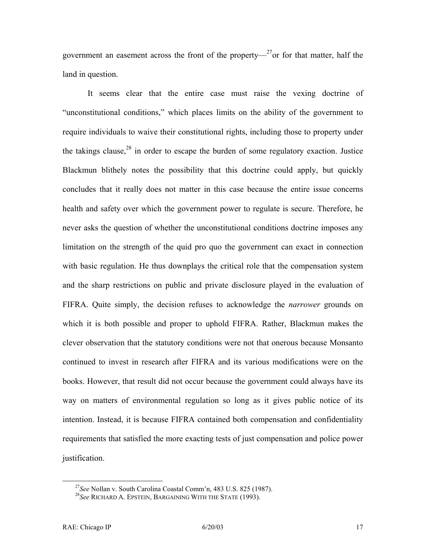government an easement across the front of the property— $^{27}$ or for that matter, half the land in question.

It seems clear that the entire case must raise the vexing doctrine of "unconstitutional conditions," which places limits on the ability of the government to require individuals to waive their constitutional rights, including those to property under the takings clause, $28$  in order to escape the burden of some regulatory exaction. Justice Blackmun blithely notes the possibility that this doctrine could apply, but quickly concludes that it really does not matter in this case because the entire issue concerns health and safety over which the government power to regulate is secure. Therefore, he never asks the question of whether the unconstitutional conditions doctrine imposes any limitation on the strength of the quid pro quo the government can exact in connection with basic regulation. He thus downplays the critical role that the compensation system and the sharp restrictions on public and private disclosure played in the evaluation of FIFRA. Quite simply, the decision refuses to acknowledge the *narrower* grounds on which it is both possible and proper to uphold FIFRA. Rather, Blackmun makes the clever observation that the statutory conditions were not that onerous because Monsanto continued to invest in research after FIFRA and its various modifications were on the books. However, that result did not occur because the government could always have its way on matters of environmental regulation so long as it gives public notice of its intention. Instead, it is because FIFRA contained both compensation and confidentiality requirements that satisfied the more exacting tests of just compensation and police power justification.

<span id="page-18-0"></span><sup>&</sup>lt;sup>27</sup>*See* Nollan v. South Carolina Coastal Comm'n, 483 U.S. 825 (1987).<br><sup>28</sup>*See* RICHARD A. EPSTEIN, BARGAINING WITH THE STATE (1993).

<span id="page-18-1"></span>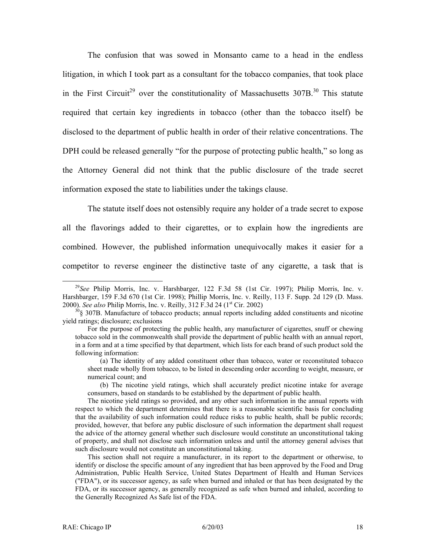The confusion that was sowed in Monsanto came to a head in the endless litigation, in which I took part as a consultant for the tobacco companies, that took place in the First Circuit<sup>29</sup> over the constitutionality of Massachusetts  $307B$ <sup>30</sup> This statute required that certain key ingredients in tobacco (other than the tobacco itself) be disclosed to the department of public health in order of their relative concentrations. The DPH could be released generally "for the purpose of protecting public health," so long as the Attorney General did not think that the public disclosure of the trade secret information exposed the state to liabilities under the takings clause.

The statute itself does not ostensibly require any holder of a trade secret to expose all the flavorings added to their cigarettes, or to explain how the ingredients are combined. However, the published information unequivocally makes it easier for a competitor to reverse engineer the distinctive taste of any cigarette, a task that is

(b) The nicotine yield ratings, which shall accurately predict nicotine intake for average consumers, based on standards to be established by the department of public health.

The nicotine yield ratings so provided, and any other such information in the annual reports with respect to which the department determines that there is a reasonable scientific basis for concluding that the availability of such information could reduce risks to public health, shall be public records; provided, however, that before any public disclosure of such information the department shall request the advice of the attorney general whether such disclosure would constitute an unconstitutional taking of property, and shall not disclose such information unless and until the attorney general advises that such disclosure would not constitute an unconstitutional taking.

This section shall not require a manufacturer, in its report to the department or otherwise, to identify or disclose the specific amount of any ingredient that has been approved by the Food and Drug Administration, Public Health Service, United States Department of Health and Human Services ("FDA"), or its successor agency, as safe when burned and inhaled or that has been designated by the FDA, or its successor agency, as generally recognized as safe when burned and inhaled, according to the Generally Recognized As Safe list of the FDA.

<span id="page-19-0"></span> <sup>29</sup>*See* Philip Morris, Inc. v. Harshbarger, <sup>122</sup> F.3d <sup>58</sup> (1st Cir. [1997\)](http://www.westlaw.com/Find/Default.wl?rs=++++1.0&vr=2.0&DB=506&FindType=Y&SerialNum=1997170546); Philip Morris, Inc. v. Harshbarger, 159 F.3d 670 (1st Cir. 1998); Phillip Morris, Inc. v. Reilly, 113 F. Supp. 2d 129 (D. [Mass.](http://www.westlaw.com/Find/Default.wl?rs=++++1.0&vr=2.0&DB=4637&FindType=Y&SerialNum=2000526254) 2000). *See also* Philip Morris, Inc. v. Reilly, 312 F.3d 24 (1<sup>st</sup> Cir. 2002)

<span id="page-19-1"></span> $^{30}$ § 307B. Manufacture of tobacco products; annual reports including added constituents and nicotine yield ratings; disclosure; exclusions

For the purpose of protecting the public health, any manufacturer of cigarettes, snuff or chewing tobacco sold in the commonwealth shall provide the department of public health with an annual report, in a form and at a time specified by that department, which lists for each brand of such product sold the following information:

<sup>(</sup>a) The identity of any added constituent other than tobacco, water or reconstituted tobacco sheet made wholly from tobacco, to be listed in descending order according to weight, measure, or numerical count; and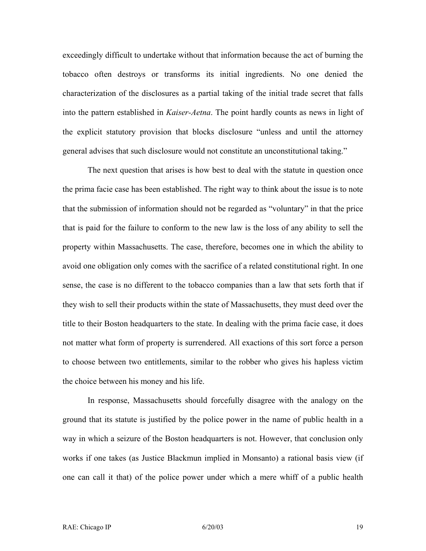exceedingly difficult to undertake without that information because the act of burning the tobacco often destroys or transforms its initial ingredients. No one denied the characterization of the disclosures as a partial taking of the initial trade secret that falls into the pattern established in *Kaiser-Aetna*. The point hardly counts as news in light of the explicit statutory provision that blocks disclosure "unless and until the attorney general advises that such disclosure would not constitute an unconstitutional taking."

The next question that arises is how best to deal with the statute in question once the prima facie case has been established. The right way to think about the issue is to note that the submission of information should not be regarded as "voluntary" in that the price that is paid for the failure to conform to the new law is the loss of any ability to sell the property within Massachusetts. The case, therefore, becomes one in which the ability to avoid one obligation only comes with the sacrifice of a related constitutional right. In one sense, the case is no different to the tobacco companies than a law that sets forth that if they wish to sell their products within the state of Massachusetts, they must deed over the title to their Boston headquarters to the state. In dealing with the prima facie case, it does not matter what form of property is surrendered. All exactions of this sort force a person to choose between two entitlements, similar to the robber who gives his hapless victim the choice between his money and his life.

In response, Massachusetts should forcefully disagree with the analogy on the ground that its statute is justified by the police power in the name of public health in a way in which a seizure of the Boston headquarters is not. However, that conclusion only works if one takes (as Justice Blackmun implied in Monsanto) a rational basis view (if one can call it that) of the police power under which a mere whiff of a public health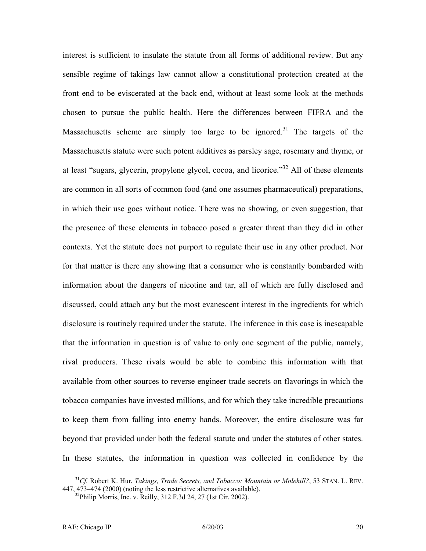interest is sufficient to insulate the statute from all forms of additional review. But any sensible regime of takings law cannot allow a constitutional protection created at the front end to be eviscerated at the back end, without at least some look at the methods chosen to pursue the public health. Here the differences between FIFRA and the Massachusetts scheme are simply too large to be ignored.<sup>31</sup> The targets of the Massachusetts statute were such potent additives as parsley sage, rosemary and thyme, or at least "sugars, glycerin, propylene glycol, cocoa, and licorice."[32](#page-21-1) All of these elements are common in all sorts of common food (and one assumes pharmaceutical) preparations, in which their use goes without notice. There was no showing, or even suggestion, that the presence of these elements in tobacco posed a greater threat than they did in other contexts. Yet the statute does not purport to regulate their use in any other product. Nor for that matter is there any showing that a consumer who is constantly bombarded with information about the dangers of nicotine and tar, all of which are fully disclosed and discussed, could attach any but the most evanescent interest in the ingredients for which disclosure is routinely required under the statute. The inference in this case is inescapable that the information in question is of value to only one segment of the public, namely, rival producers. These rivals would be able to combine this information with that available from other sources to reverse engineer trade secrets on flavorings in which the tobacco companies have invested millions, and for which they take incredible precautions to keep them from falling into enemy hands. Moreover, the entire disclosure was far beyond that provided under both the federal statute and under the statutes of other states. In these statutes, the information in question was collected in confidence by the

<span id="page-21-0"></span> <sup>31</sup>*Cf.* Robert K. Hur, *[Takings, Trade Secrets, and Tobacco: Mountain or Molehill?](http://www.westlaw.com/Find/Default.wl?rs=++++1.0&vr=2.0&DB=1239&FindType=Y&ReferencePositionType=S&SerialNum=0283110566&ReferencePosition=488)*, <sup>53</sup> [STAN. L. REV.](http://www.westlaw.com/Find/Default.wl?rs=++++1.0&vr=2.0&DB=1239&FindType=Y&ReferencePositionType=S&SerialNum=0283110566&ReferencePosition=488)  447, 473–474 (2000) (noting the less restrictive alternatives available).  $32P$  $32P$  hilip Morris, Inc. v. Reilly, 312 F.3d 24, 27 (1st Cir. 2002).

<span id="page-21-1"></span>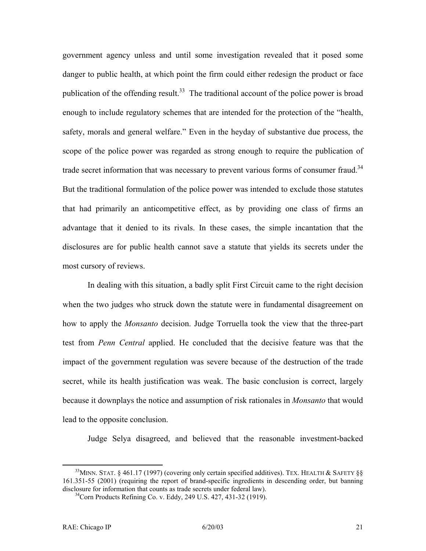government agency unless and until some investigation revealed that it posed some danger to public health, at which point the firm could either redesign the product or face publication of the offending result.<sup>33</sup> The traditional account of the police power is broad enough to include regulatory schemes that are intended for the protection of the "health, safety, morals and general welfare." Even in the heyday of substantive due process, the scope of the police power was regarded as strong enough to require the publication of trade secret information that was necessary to prevent various forms of consumer fraud.<sup>34</sup> But the traditional formulation of the police power was intended to exclude those statutes that had primarily an anticompetitive effect, as by providing one class of firms an advantage that it denied to its rivals. In these cases, the simple incantation that the disclosures are for public health cannot save a statute that yields its secrets under the most cursory of reviews.

In dealing with this situation, a badly split First Circuit came to the right decision when the two judges who struck down the statute were in fundamental disagreement on how to apply the *Monsanto* decision. Judge Torruella took the view that the three-part test from *Penn Central* applied. He concluded that the decisive feature was that the impact of the government regulation was severe because of the destruction of the trade secret, while its health justification was weak. The basic conclusion is correct, largely because it downplays the notice and assumption of risk rationales in *Monsanto* that would lead to the opposite conclusion.

Judge Selya disagreed, and believed that the reasonable investment-backed

<span id="page-22-0"></span><sup>&</sup>lt;sup>33</sup>MINN. STAT. § 461.17 (1997) (covering only certain specified additives). TEX. HEALTH & SAFETY §§ [161.351-](http://www.westlaw.com/Find/Default.wl?rs=++++1.0&vr=2.0&DB=1000301&DocName=TXHSS161.351&FindType=L)55 (2001) (requiring the report of brand-specific ingredients in descending order, but banning disclosure for information that counts as tr[ade secrets under federal law\).](http://www.westlaw.com/Find/Default.wl?rs=++++1.0&vr=2.0&DB=708&FindType=Y&SerialNum=1919100431)<br><sup>34</sup>Corn Products Refining Co. v. Eddy, 249 U.S. 427, 431-32 (1919).

<span id="page-22-1"></span>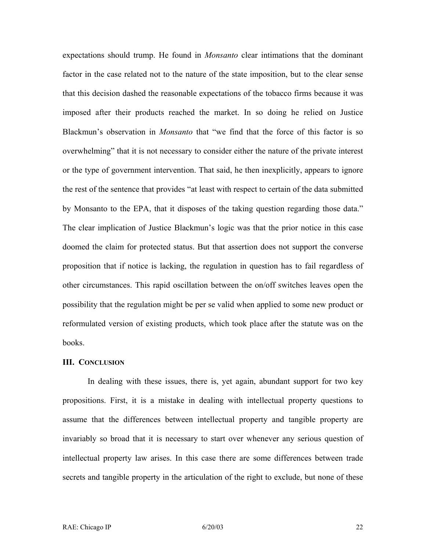expectations should trump. He found in *Monsanto* clear intimations that the dominant factor in the case related not to the nature of the state imposition, but to the clear sense that this decision dashed the reasonable expectations of the tobacco firms because it was imposed after their products reached the market. In so doing he relied on Justice Blackmun's observation in *Monsanto* that "we find that the force of this factor is so overwhelming" that it is not necessary to consider either the nature of the private interest or the type of government intervention. That said, he then inexplicitly, appears to ignore the rest of the sentence that provides "at least with respect to certain of the data submitted by Monsanto to the EPA, that it disposes of the taking question regarding those data." The clear implication of Justice Blackmun's logic was that the prior notice in this case doomed the claim for protected status. But that assertion does not support the converse proposition that if notice is lacking, the regulation in question has to fail regardless of other circumstances. This rapid oscillation between the on/off switches leaves open the possibility that the regulation might be per se valid when applied to some new product or reformulated version of existing products, which took place after the statute was on the books.

#### **III. CONCLUSION**

In dealing with these issues, there is, yet again, abundant support for two key propositions. First, it is a mistake in dealing with intellectual property questions to assume that the differences between intellectual property and tangible property are invariably so broad that it is necessary to start over whenever any serious question of intellectual property law arises. In this case there are some differences between trade secrets and tangible property in the articulation of the right to exclude, but none of these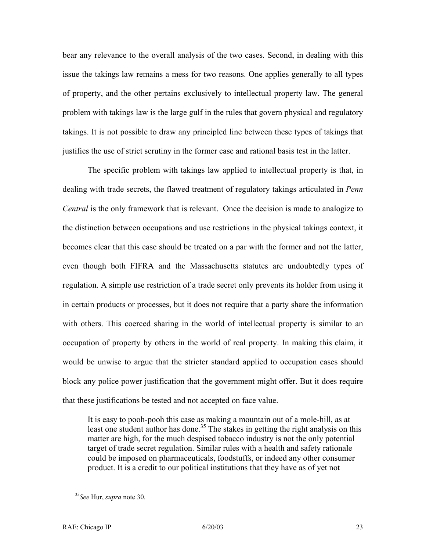bear any relevance to the overall analysis of the two cases. Second, in dealing with this issue the takings law remains a mess for two reasons. One applies generally to all types of property, and the other pertains exclusively to intellectual property law. The general problem with takings law is the large gulf in the rules that govern physical and regulatory takings. It is not possible to draw any principled line between these types of takings that justifies the use of strict scrutiny in the former case and rational basis test in the latter.

The specific problem with takings law applied to intellectual property is that, in dealing with trade secrets, the flawed treatment of regulatory takings articulated in *Penn Central* is the only framework that is relevant. Once the decision is made to analogize to the distinction between occupations and use restrictions in the physical takings context, it becomes clear that this case should be treated on a par with the former and not the latter, even though both FIFRA and the Massachusetts statutes are undoubtedly types of regulation. A simple use restriction of a trade secret only prevents its holder from using it in certain products or processes, but it does not require that a party share the information with others. This coerced sharing in the world of intellectual property is similar to an occupation of property by others in the world of real property. In making this claim, it would be unwise to argue that the stricter standard applied to occupation cases should block any police power justification that the government might offer. But it does require that these justifications be tested and not accepted on face value.

It is easy to pooh-pooh this case as making a mountain out of a mole-hill, as at least one student author has done.<sup>35</sup> The stakes in getting the right analysis on this matter are high, for the much despised tobacco industry is not the only potential target of trade secret regulation. Similar rules with a health and safety rationale could be imposed on pharmaceuticals, foodstuffs, or indeed any other consumer product. It is a credit to our political institutions that they have as of yet not

 $\overline{a}$ 

<span id="page-24-0"></span><sup>35</sup>*See* Hur, *supra* note 30.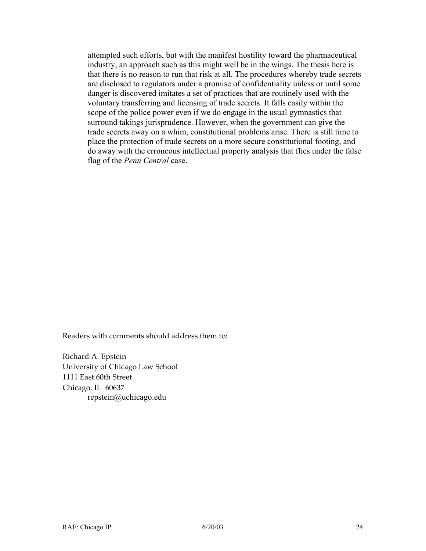attempted such efforts, but with the manifest hostility toward the pharmaceutical industry, an approach such as this might well be in the wings. The thesis here is that there is no reason to run that risk at all. The procedures whereby trade secrets are disclosed to regulators under a promise of confidentiality unless or until some danger is discovered imitates a set of practices that are routinely used with the voluntary transferring and licensing of trade secrets. It falls easily within the scope of the police power even if we do engage in the usual gymnastics that surround takings jurisprudence. However, when the government can give the trade secrets away on a whim, constitutional problems arise. There is still time to place the protection of trade secrets on a more secure constitutional footing, and do away with the erroneous intellectual property analysis that flies under the false flag of the *Penn Central* case.

Readers with comments should address them to:

Richard A. Epstein University of Chicago Law School 1111 East 60th Street Chicago, IL 60637 repstein@uchicago.edu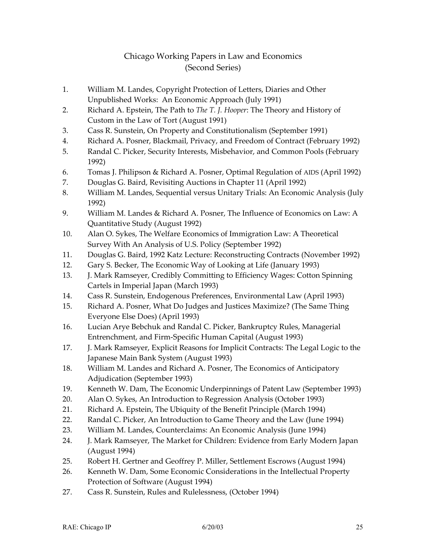### Chicago Working Papers in Law and Economics (Second Series)

- 1. William M. Landes, Copyright Protection of Letters, Diaries and Other Unpublished Works: An Economic Approach (July 1991)
- 2. Richard A. Epstein, The Path to *The T. J. Hooper*: The Theory and History of Custom in the Law of Tort (August 1991)
- 3. Cass R. Sunstein, On Property and Constitutionalism (September 1991)
- 4. Richard A. Posner, Blackmail, Privacy, and Freedom of Contract (February 1992)
- 5. Randal C. Picker, Security Interests, Misbehavior, and Common Pools (February 1992)
- 6. Tomas J. Philipson & Richard A. Posner, Optimal Regulation of AIDS (April 1992)
- 7. Douglas G. Baird, Revisiting Auctions in Chapter 11 (April 1992)
- 8. William M. Landes, Sequential versus Unitary Trials: An Economic Analysis (July 1992)
- 9. William M. Landes & Richard A. Posner, The Influence of Economics on Law: A Quantitative Study (August 1992)
- 10. Alan O. Sykes, The Welfare Economics of Immigration Law: A Theoretical Survey With An Analysis of U.S. Policy (September 1992)
- 11. Douglas G. Baird, 1992 Katz Lecture: Reconstructing Contracts (November 1992)
- 12. Gary S. Becker, The Economic Way of Looking at Life (January 1993)
- 13. J. Mark Ramseyer, Credibly Committing to Efficiency Wages: Cotton Spinning Cartels in Imperial Japan (March 1993)
- 14. Cass R. Sunstein, Endogenous Preferences, Environmental Law (April 1993)
- 15. Richard A. Posner, What Do Judges and Justices Maximize? (The Same Thing Everyone Else Does) (April 1993)
- 16. Lucian Arye Bebchuk and Randal C. Picker, Bankruptcy Rules, Managerial Entrenchment, and Firm-Specific Human Capital (August 1993)
- 17. J. Mark Ramseyer, Explicit Reasons for Implicit Contracts: The Legal Logic to the Japanese Main Bank System (August 1993)
- 18. William M. Landes and Richard A. Posner, The Economics of Anticipatory Adjudication (September 1993)
- 19. Kenneth W. Dam, The Economic Underpinnings of Patent Law (September 1993)
- 20. Alan O. Sykes, An Introduction to Regression Analysis (October 1993)
- 21. Richard A. Epstein, The Ubiquity of the Benefit Principle (March 1994)
- 22. Randal C. Picker, An Introduction to Game Theory and the Law (June 1994)
- 23. William M. Landes, Counterclaims: An Economic Analysis (June 1994)
- 24. J. Mark Ramseyer, The Market for Children: Evidence from Early Modern Japan (August 1994)
- 25. Robert H. Gertner and Geoffrey P. Miller, Settlement Escrows (August 1994)
- 26. Kenneth W. Dam, Some Economic Considerations in the Intellectual Property Protection of Software (August 1994)
- 27. Cass R. Sunstein, Rules and Rulelessness, (October 1994)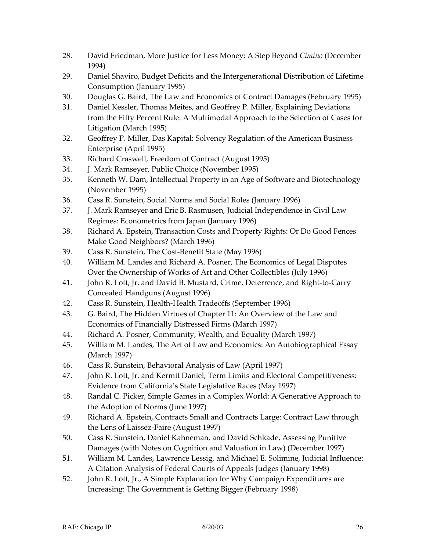- 28. David Friedman, More Justice for Less Money: A Step Beyond *Cimino* (December 1994)
- 29. Daniel Shaviro, Budget Deficits and the Intergenerational Distribution of Lifetime Consumption (January 1995)
- 30. Douglas G. Baird, The Law and Economics of Contract Damages (February 1995)
- 31. Daniel Kessler, Thomas Meites, and Geoffrey P. Miller, Explaining Deviations from the Fifty Percent Rule: A Multimodal Approach to the Selection of Cases for Litigation (March 1995)
- 32. Geoffrey P. Miller, Das Kapital: Solvency Regulation of the American Business Enterprise (April 1995)
- 33. Richard Craswell, Freedom of Contract (August 1995)
- 34. J. Mark Ramseyer, Public Choice (November 1995)
- 35. Kenneth W. Dam, Intellectual Property in an Age of Software and Biotechnology (November 1995)
- 36. Cass R. Sunstein, Social Norms and Social Roles (January 1996)
- 37. J. Mark Ramseyer and Eric B. Rasmusen, Judicial Independence in Civil Law Regimes: Econometrics from Japan (January 1996)
- 38. Richard A. Epstein, Transaction Costs and Property Rights: Or Do Good Fences Make Good Neighbors? (March 1996)
- 39. Cass R. Sunstein, The Cost-Benefit State (May 1996)
- 40. William M. Landes and Richard A. Posner, The Economics of Legal Disputes Over the Ownership of Works of Art and Other Collectibles (July 1996)
- 41. John R. Lott, Jr. and David B. Mustard, Crime, Deterrence, and Right-to-Carry Concealed Handguns (August 1996)
- 42. Cass R. Sunstein, Health-Health Tradeoffs (September 1996)
- 43. G. Baird, The Hidden Virtues of Chapter 11: An Overview of the Law and Economics of Financially Distressed Firms (March 1997)
- 44. Richard A. Posner, Community, Wealth, and Equality (March 1997)
- 45. William M. Landes, The Art of Law and Economics: An Autobiographical Essay (March 1997)
- 46. Cass R. Sunstein, Behavioral Analysis of Law (April 1997)
- 47. John R. Lott, Jr. and Kermit Daniel, Term Limits and Electoral Competitiveness: Evidence from California's State Legislative Races (May 1997)
- 48. Randal C. Picker, Simple Games in a Complex World: A Generative Approach to the Adoption of Norms (June 1997)
- 49. Richard A. Epstein, Contracts Small and Contracts Large: Contract Law through the Lens of Laissez-Faire (August 1997)
- 50. Cass R. Sunstein, Daniel Kahneman, and David Schkade, Assessing Punitive Damages (with Notes on Cognition and Valuation in Law) (December 1997)
- 51. William M. Landes, Lawrence Lessig, and Michael E. Solimine, Judicial Influence: A Citation Analysis of Federal Courts of Appeals Judges (January 1998)
- 52. John R. Lott, Jr., A Simple Explanation for Why Campaign Expenditures are Increasing: The Government is Getting Bigger (February 1998)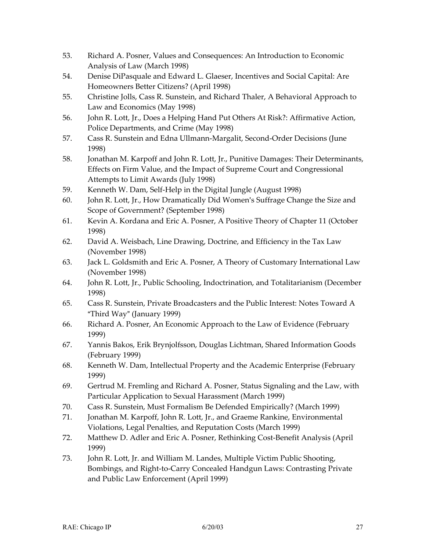- 53. Richard A. Posner, Values and Consequences: An Introduction to Economic Analysis of Law (March 1998)
- 54. Denise DiPasquale and Edward L. Glaeser, Incentives and Social Capital: Are Homeowners Better Citizens? (April 1998)
- 55. Christine Jolls, Cass R. Sunstein, and Richard Thaler, A Behavioral Approach to Law and Economics (May 1998)
- 56. John R. Lott, Jr., Does a Helping Hand Put Others At Risk?: Affirmative Action, Police Departments, and Crime (May 1998)
- 57. Cass R. Sunstein and Edna Ullmann-Margalit, Second-Order Decisions (June 1998)
- 58. Jonathan M. Karpoff and John R. Lott, Jr., Punitive Damages: Their Determinants, Effects on Firm Value, and the Impact of Supreme Court and Congressional Attempts to Limit Awards (July 1998)
- 59. Kenneth W. Dam, Self-Help in the Digital Jungle (August 1998)
- 60. John R. Lott, Jr., How Dramatically Did Women's Suffrage Change the Size and Scope of Government? (September 1998)
- 61. Kevin A. Kordana and Eric A. Posner, A Positive Theory of Chapter 11 (October 1998)
- 62. David A. Weisbach, Line Drawing, Doctrine, and Efficiency in the Tax Law (November 1998)
- 63. Jack L. Goldsmith and Eric A. Posner, A Theory of Customary International Law (November 1998)
- 64. John R. Lott, Jr., Public Schooling, Indoctrination, and Totalitarianism (December 1998)
- 65. Cass R. Sunstein, Private Broadcasters and the Public Interest: Notes Toward A "Third Way" (January 1999)
- 66. Richard A. Posner, An Economic Approach to the Law of Evidence (February 1999)
- 67. Yannis Bakos, Erik Brynjolfsson, Douglas Lichtman, Shared Information Goods (February 1999)
- 68. Kenneth W. Dam, Intellectual Property and the Academic Enterprise (February 1999)
- 69. Gertrud M. Fremling and Richard A. Posner, Status Signaling and the Law, with Particular Application to Sexual Harassment (March 1999)
- 70. Cass R. Sunstein, Must Formalism Be Defended Empirically? (March 1999)
- 71. Jonathan M. Karpoff, John R. Lott, Jr., and Graeme Rankine, Environmental Violations, Legal Penalties, and Reputation Costs (March 1999)
- 72. Matthew D. Adler and Eric A. Posner, Rethinking Cost-Benefit Analysis (April 1999)
- 73. John R. Lott, Jr. and William M. Landes, Multiple Victim Public Shooting, Bombings, and Right-to-Carry Concealed Handgun Laws: Contrasting Private and Public Law Enforcement (April 1999)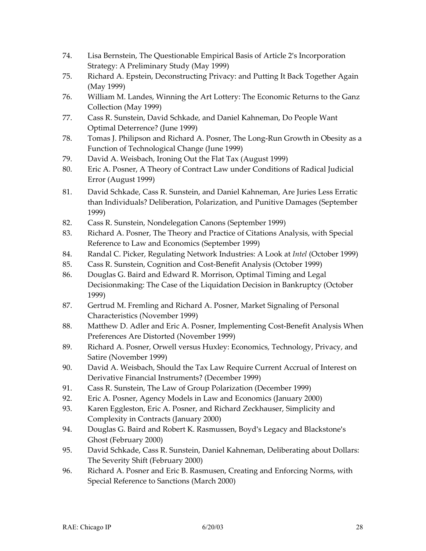- 74. Lisa Bernstein, The Questionable Empirical Basis of Article 2's Incorporation Strategy: A Preliminary Study (May 1999)
- 75. Richard A. Epstein, Deconstructing Privacy: and Putting It Back Together Again (May 1999)
- 76. William M. Landes, Winning the Art Lottery: The Economic Returns to the Ganz Collection (May 1999)
- 77. Cass R. Sunstein, David Schkade, and Daniel Kahneman, Do People Want Optimal Deterrence? (June 1999)
- 78. Tomas J. Philipson and Richard A. Posner, The Long-Run Growth in Obesity as a Function of Technological Change (June 1999)
- 79. David A. Weisbach, Ironing Out the Flat Tax (August 1999)
- 80. Eric A. Posner, A Theory of Contract Law under Conditions of Radical Judicial Error (August 1999)
- 81. David Schkade, Cass R. Sunstein, and Daniel Kahneman, Are Juries Less Erratic than Individuals? Deliberation, Polarization, and Punitive Damages (September 1999)
- 82. Cass R. Sunstein, Nondelegation Canons (September 1999)
- 83. Richard A. Posner, The Theory and Practice of Citations Analysis, with Special Reference to Law and Economics (September 1999)
- 84. Randal C. Picker, Regulating Network Industries: A Look at *Intel* (October 1999)
- 85. Cass R. Sunstein, Cognition and Cost-Benefit Analysis (October 1999)
- 86. Douglas G. Baird and Edward R. Morrison, Optimal Timing and Legal Decisionmaking: The Case of the Liquidation Decision in Bankruptcy (October 1999)
- 87. Gertrud M. Fremling and Richard A. Posner, Market Signaling of Personal Characteristics (November 1999)
- 88. Matthew D. Adler and Eric A. Posner, Implementing Cost-Benefit Analysis When Preferences Are Distorted (November 1999)
- 89. Richard A. Posner, Orwell versus Huxley: Economics, Technology, Privacy, and Satire (November 1999)
- 90. David A. Weisbach, Should the Tax Law Require Current Accrual of Interest on Derivative Financial Instruments? (December 1999)
- 91. Cass R. Sunstein, The Law of Group Polarization (December 1999)
- 92. Eric A. Posner, Agency Models in Law and Economics (January 2000)
- 93. Karen Eggleston, Eric A. Posner, and Richard Zeckhauser, Simplicity and Complexity in Contracts (January 2000)
- 94. Douglas G. Baird and Robert K. Rasmussen, Boyd's Legacy and Blackstone's Ghost (February 2000)
- 95. David Schkade, Cass R. Sunstein, Daniel Kahneman, Deliberating about Dollars: The Severity Shift (February 2000)
- 96. Richard A. Posner and Eric B. Rasmusen, Creating and Enforcing Norms, with Special Reference to Sanctions (March 2000)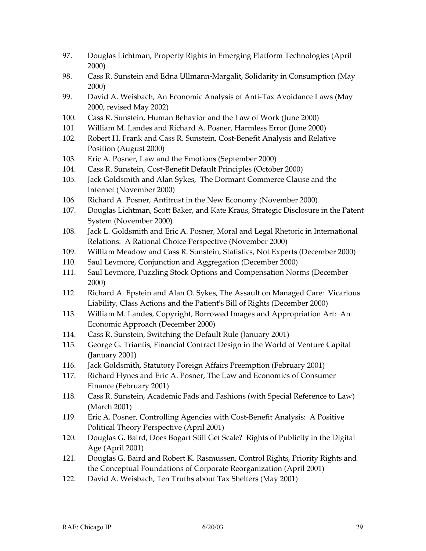- 97. Douglas Lichtman, Property Rights in Emerging Platform Technologies (April 2000)
- 98. Cass R. Sunstein and Edna Ullmann-Margalit, Solidarity in Consumption (May 2000)
- 99. David A. Weisbach, An Economic Analysis of Anti-Tax Avoidance Laws (May 2000, revised May 2002)
- 100. Cass R. Sunstein, Human Behavior and the Law of Work (June 2000)
- 101. William M. Landes and Richard A. Posner, Harmless Error (June 2000)
- 102. Robert H. Frank and Cass R. Sunstein, Cost-Benefit Analysis and Relative Position (August 2000)
- 103. Eric A. Posner, Law and the Emotions (September 2000)
- 104. Cass R. Sunstein, Cost-Benefit Default Principles (October 2000)
- 105. Jack Goldsmith and Alan Sykes, The Dormant Commerce Clause and the Internet (November 2000)
- 106. Richard A. Posner, Antitrust in the New Economy (November 2000)
- 107. Douglas Lichtman, Scott Baker, and Kate Kraus, Strategic Disclosure in the Patent System (November 2000)
- 108. Jack L. Goldsmith and Eric A. Posner, Moral and Legal Rhetoric in International Relations: A Rational Choice Perspective (November 2000)
- 109. William Meadow and Cass R. Sunstein, Statistics, Not Experts (December 2000)
- 110. Saul Levmore, Conjunction and Aggregation (December 2000)
- 111. Saul Levmore, Puzzling Stock Options and Compensation Norms (December 2000)
- 112. Richard A. Epstein and Alan O. Sykes, The Assault on Managed Care: Vicarious Liability, Class Actions and the Patient's Bill of Rights (December 2000)
- 113. William M. Landes, Copyright, Borrowed Images and Appropriation Art: An Economic Approach (December 2000)
- 114. Cass R. Sunstein, Switching the Default Rule (January 2001)
- 115. George G. Triantis, Financial Contract Design in the World of Venture Capital (January 2001)
- 116. Jack Goldsmith, Statutory Foreign Affairs Preemption (February 2001)
- 117. Richard Hynes and Eric A. Posner, The Law and Economics of Consumer Finance (February 2001)
- 118. Cass R. Sunstein, Academic Fads and Fashions (with Special Reference to Law) (March 2001)
- 119. Eric A. Posner, Controlling Agencies with Cost-Benefit Analysis: A Positive Political Theory Perspective (April 2001)
- 120. Douglas G. Baird, Does Bogart Still Get Scale? Rights of Publicity in the Digital Age (April 2001)
- 121. Douglas G. Baird and Robert K. Rasmussen, Control Rights, Priority Rights and the Conceptual Foundations of Corporate Reorganization (April 2001)
- 122. David A. Weisbach, Ten Truths about Tax Shelters (May 2001)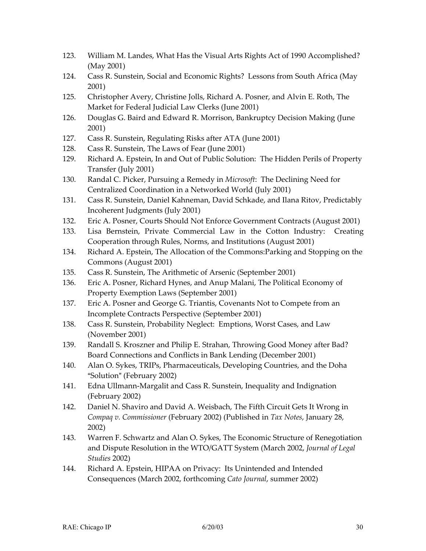- 123. William M. Landes, What Has the Visual Arts Rights Act of 1990 Accomplished? (May 2001)
- 124. Cass R. Sunstein, Social and Economic Rights? Lessons from South Africa (May 2001)
- 125. Christopher Avery, Christine Jolls, Richard A. Posner, and Alvin E. Roth, The Market for Federal Judicial Law Clerks (June 2001)
- 126. Douglas G. Baird and Edward R. Morrison, Bankruptcy Decision Making (June 2001)
- 127. Cass R. Sunstein, Regulating Risks after ATA (June 2001)
- 128. Cass R. Sunstein, The Laws of Fear (June 2001)
- 129. Richard A. Epstein, In and Out of Public Solution: The Hidden Perils of Property Transfer (July 2001)
- 130. Randal C. Picker, Pursuing a Remedy in *Microsoft*: The Declining Need for Centralized Coordination in a Networked World (July 2001)
- 131. Cass R. Sunstein, Daniel Kahneman, David Schkade, and Ilana Ritov, Predictably Incoherent Judgments (July 2001)
- 132. Eric A. Posner, Courts Should Not Enforce Government Contracts (August 2001)
- 133. Lisa Bernstein, Private Commercial Law in the Cotton Industry: Creating Cooperation through Rules, Norms, and Institutions (August 2001)
- 134. Richard A. Epstein, The Allocation of the Commons:Parking and Stopping on the Commons (August 2001)
- 135. Cass R. Sunstein, The Arithmetic of Arsenic (September 2001)
- 136. Eric A. Posner, Richard Hynes, and Anup Malani, The Political Economy of Property Exemption Laws (September 2001)
- 137. Eric A. Posner and George G. Triantis, Covenants Not to Compete from an Incomplete Contracts Perspective (September 2001)
- 138. Cass R. Sunstein, Probability Neglect: Emptions, Worst Cases, and Law (November 2001)
- 139. Randall S. Kroszner and Philip E. Strahan, Throwing Good Money after Bad? Board Connections and Conflicts in Bank Lending (December 2001)
- 140. Alan O. Sykes, TRIPs, Pharmaceuticals, Developing Countries, and the Doha "Solution" (February 2002)
- 141. Edna Ullmann-Margalit and Cass R. Sunstein, Inequality and Indignation (February 2002)
- 142. Daniel N. Shaviro and David A. Weisbach, The Fifth Circuit Gets It Wrong in *Compaq v. Commissioner* (February 2002) (Published in *Tax Notes*, January 28, 2002)
- 143. Warren F. Schwartz and Alan O. Sykes, The Economic Structure of Renegotiation and Dispute Resolution in the WTO/GATT System (March 2002, *Journal of Legal Studies* 2002)
- 144. Richard A. Epstein, HIPAA on Privacy: Its Unintended and Intended Consequences (March 2002, forthcoming *Cato Journal*, summer 2002)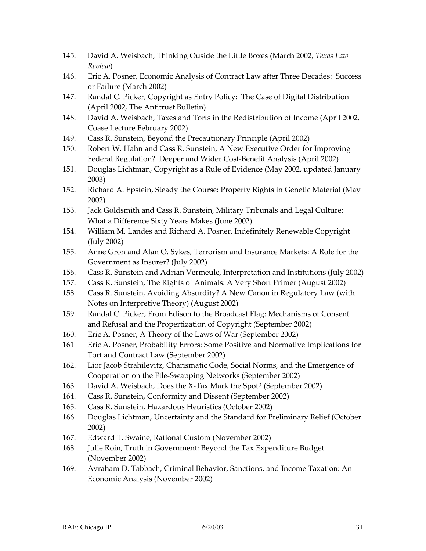- 145. David A. Weisbach, Thinking Ouside the Little Boxes (March 2002, *Texas Law Review*)
- 146. Eric A. Posner, Economic Analysis of Contract Law after Three Decades: Success or Failure (March 2002)
- 147. Randal C. Picker, Copyright as Entry Policy: The Case of Digital Distribution (April 2002, The Antitrust Bulletin)
- 148. David A. Weisbach, Taxes and Torts in the Redistribution of Income (April 2002, Coase Lecture February 2002)
- 149. Cass R. Sunstein, Beyond the Precautionary Principle (April 2002)
- 150. Robert W. Hahn and Cass R. Sunstein, A New Executive Order for Improving Federal Regulation? Deeper and Wider Cost-Benefit Analysis (April 2002)
- 151. Douglas Lichtman, Copyright as a Rule of Evidence (May 2002, updated January 2003)
- 152. Richard A. Epstein, Steady the Course: Property Rights in Genetic Material (May 2002)
- 153. Jack Goldsmith and Cass R. Sunstein, Military Tribunals and Legal Culture: What a Difference Sixty Years Makes (June 2002)
- 154. William M. Landes and Richard A. Posner, Indefinitely Renewable Copyright (July 2002)
- 155. Anne Gron and Alan O. Sykes, Terrorism and Insurance Markets: A Role for the Government as Insurer? (July 2002)
- 156. Cass R. Sunstein and Adrian Vermeule, Interpretation and Institutions (July 2002)
- 157. Cass R. Sunstein, The Rights of Animals: A Very Short Primer (August 2002)
- 158. Cass R. Sunstein, Avoiding Absurdity? A New Canon in Regulatory Law (with Notes on Interpretive Theory) (August 2002)
- 159. Randal C. Picker, From Edison to the Broadcast Flag: Mechanisms of Consent and Refusal and the Propertization of Copyright (September 2002)
- 160. Eric A. Posner, A Theory of the Laws of War (September 2002)
- 161 Eric A. Posner, Probability Errors: Some Positive and Normative Implications for Tort and Contract Law (September 2002)
- 162. Lior Jacob Strahilevitz, Charismatic Code, Social Norms, and the Emergence of Cooperation on the File-Swapping Networks (September 2002)
- 163. David A. Weisbach, Does the X-Tax Mark the Spot? (September 2002)
- 164. Cass R. Sunstein, Conformity and Dissent (September 2002)
- 165. Cass R. Sunstein, Hazardous Heuristics (October 2002)
- 166. Douglas Lichtman, Uncertainty and the Standard for Preliminary Relief (October 2002)
- 167. Edward T. Swaine, Rational Custom (November 2002)
- 168. Julie Roin, Truth in Government: Beyond the Tax Expenditure Budget (November 2002)
- 169. Avraham D. Tabbach, Criminal Behavior, Sanctions, and Income Taxation: An Economic Analysis (November 2002)